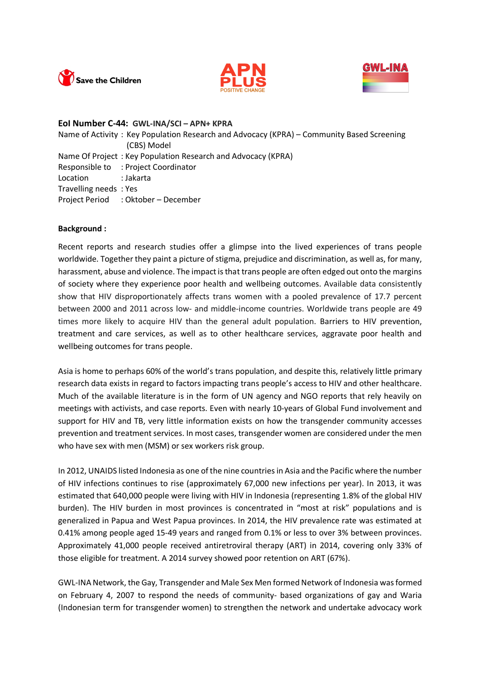





#### **EoI Number C-44: GWL-INA/SCI – APN+ KPRA**

Name of Activity : Key Population Research and Advocacy (KPRA) – Community Based Screening (CBS) Model Name Of Project : Key Population Research and Advocacy (KPRA) Responsible to : Project Coordinator Location : Jakarta Travelling needs : Yes Project Period : Oktober – December

#### **Background :**

Recent reports and research studies offer a glimpse into the lived experiences of trans people worldwide. Together they paint a picture of stigma, prejudice and discrimination, as well as, for many, harassment, abuse and violence. The impact is that trans people are often edged out onto the margins of society where they experience poor health and wellbeing outcomes. Available data consistently show that HIV disproportionately affects trans women with a pooled prevalence of 17.7 percent between 2000 and 2011 across low- and middle-income countries. Worldwide trans people are 49 times more likely to acquire HIV than the general adult population. Barriers to HIV prevention, treatment and care services, as well as to other healthcare services, aggravate poor health and wellbeing outcomes for trans people.

Asia is home to perhaps 60% of the world's trans population, and despite this, relatively little primary research data exists in regard to factors impacting trans people's access to HIV and other healthcare. Much of the available literature is in the form of UN agency and NGO reports that rely heavily on meetings with activists, and case reports. Even with nearly 10-years of Global Fund involvement and support for HIV and TB, very little information exists on how the transgender community accesses prevention and treatment services. In most cases, transgender women are considered under the men who have sex with men (MSM) or sex workers risk group.

In 2012, UNAIDS listed Indonesia as one of the nine countries in Asia and the Pacific where the number of HIV infections continues to rise (approximately 67,000 new infections per year). In 2013, it was estimated that 640,000 people were living with HIV in Indonesia (representing 1.8% of the global HIV burden). The HIV burden in most provinces is concentrated in "most at risk" populations and is generalized in Papua and West Papua provinces. In 2014, the HIV prevalence rate was estimated at 0.41% among people aged 15-49 years and ranged from 0.1% or less to over 3% between provinces. Approximately 41,000 people received antiretroviral therapy (ART) in 2014, covering only 33% of those eligible for treatment. A 2014 survey showed poor retention on ART (67%).

GWL-INA Network, the Gay, Transgender and Male Sex Men formed Network of Indonesia was formed on February 4, 2007 to respond the needs of community- based organizations of gay and Waria (Indonesian term for transgender women) to strengthen the network and undertake advocacy work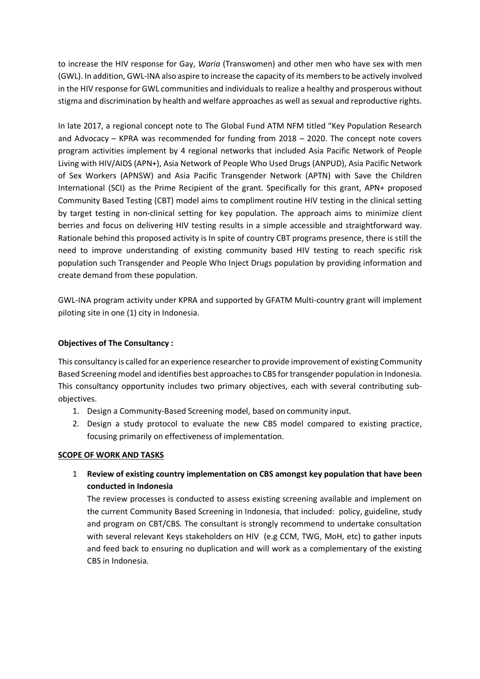to increase the HIV response for Gay, *Waria* (Transwomen) and other men who have sex with men (GWL). In addition, GWL-INA also aspire to increase the capacity of its members to be actively involved in the HIV response for GWL communities and individuals to realize a healthy and prosperous without stigma and discrimination by health and welfare approaches as well as sexual and reproductive rights.

In late 2017, a regional concept note to The Global Fund ATM NFM titled "Key Population Research and Advocacy – KPRA was recommended for funding from 2018 – 2020. The concept note covers program activities implement by 4 regional networks that included Asia Pacific Network of People Living with HIV/AIDS (APN+), Asia Network of People Who Used Drugs (ANPUD), Asia Pacific Network of Sex Workers (APNSW) and Asia Pacific Transgender Network (APTN) with Save the Children International (SCI) as the Prime Recipient of the grant. Specifically for this grant, APN+ proposed Community Based Testing (CBT) model aims to compliment routine HIV testing in the clinical setting by target testing in non-clinical setting for key population. The approach aims to minimize client berries and focus on delivering HIV testing results in a simple accessible and straightforward way. Rationale behind this proposed activity is In spite of country CBT programs presence, there is still the need to improve understanding of existing community based HIV testing to reach specific risk population such Transgender and People Who Inject Drugs population by providing information and create demand from these population.

GWL-INA program activity under KPRA and supported by GFATM Multi-country grant will implement piloting site in one (1) city in Indonesia.

# **Objectives of The Consultancy :**

This consultancy is called for an experience researcher to provide improvement of existing Community Based Screening model and identifies best approaches to CBS for transgender population in Indonesia. This consultancy opportunity includes two primary objectives, each with several contributing subobjectives.

- 1. Design a Community-Based Screening model, based on community input.
- 2. Design a study protocol to evaluate the new CBS model compared to existing practice, focusing primarily on effectiveness of implementation.

## **SCOPE OF WORK AND TASKS**

1 **Review of existing country implementation on CBS amongst key population that have been conducted in Indonesia**

The review processes is conducted to assess existing screening available and implement on the current Community Based Screening in Indonesia, that included: policy, guideline, study and program on CBT/CBS. The consultant is strongly recommend to undertake consultation with several relevant Keys stakeholders on HIV (e.g CCM, TWG, MoH, etc) to gather inputs and feed back to ensuring no duplication and will work as a complementary of the existing CBS in Indonesia.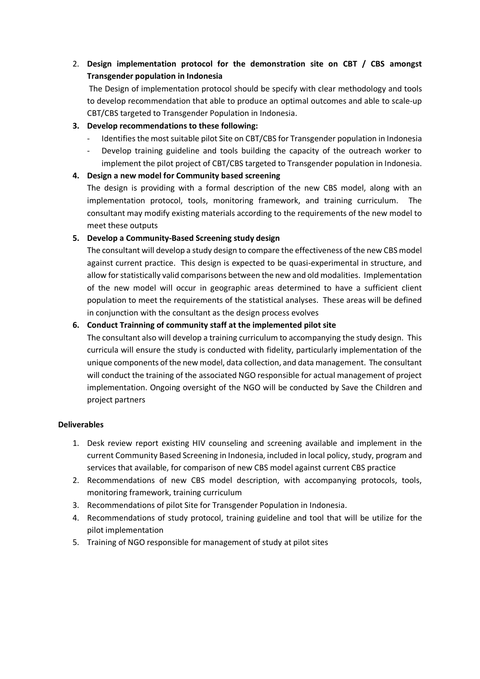# 2. **Design implementation protocol for the demonstration site on CBT / CBS amongst Transgender population in Indonesia**

The Design of implementation protocol should be specify with clear methodology and tools to develop recommendation that able to produce an optimal outcomes and able to scale-up CBT/CBS targeted to Transgender Population in Indonesia.

# **3. Develop recommendations to these following:**

- Identifies the most suitable pilot Site on CBT/CBS for Transgender population in Indonesia
- Develop training guideline and tools building the capacity of the outreach worker to implement the pilot project of CBT/CBS targeted to Transgender population in Indonesia.

## **4. Design a new model for Community based screening**

The design is providing with a formal description of the new CBS model, along with an implementation protocol, tools, monitoring framework, and training curriculum. The consultant may modify existing materials according to the requirements of the new model to meet these outputs

## **5. Develop a Community-Based Screening study design**

The consultant will develop a study design to compare the effectiveness of the new CBS model against current practice. This design is expected to be quasi-experimental in structure, and allow for statistically valid comparisons between the new and old modalities. Implementation of the new model will occur in geographic areas determined to have a sufficient client population to meet the requirements of the statistical analyses. These areas will be defined in conjunction with the consultant as the design process evolves

# **6. Conduct Trainning of community staff at the implemented pilot site**

The consultant also will develop a training curriculum to accompanying the study design. This curricula will ensure the study is conducted with fidelity, particularly implementation of the unique components of the new model, data collection, and data management. The consultant will conduct the training of the associated NGO responsible for actual management of project implementation. Ongoing oversight of the NGO will be conducted by Save the Children and project partners

## **Deliverables**

- 1. Desk review report existing HIV counseling and screening available and implement in the current Community Based Screening in Indonesia, included in local policy, study, program and services that available, for comparison of new CBS model against current CBS practice
- 2. Recommendations of new CBS model description, with accompanying protocols, tools, monitoring framework, training curriculum
- 3. Recommendations of pilot Site for Transgender Population in Indonesia.
- 4. Recommendations of study protocol, training guideline and tool that will be utilize for the pilot implementation
- 5. Training of NGO responsible for management of study at pilot sites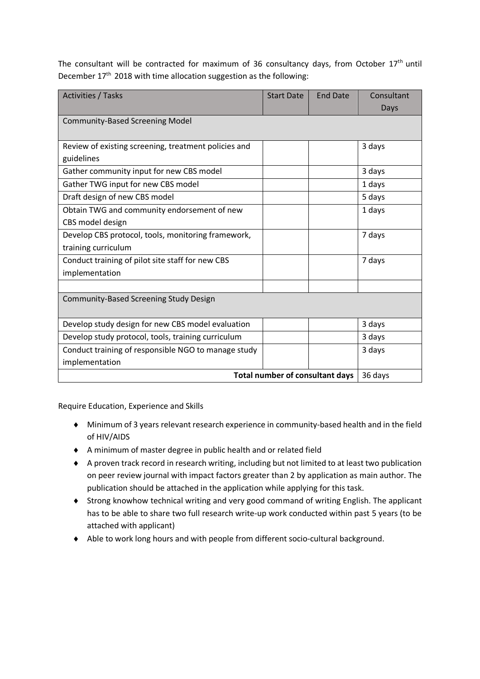The consultant will be contracted for maximum of 36 consultancy days, from October  $17<sup>th</sup>$  until December 17<sup>th</sup> 2018 with time allocation suggestion as the following:

| <b>Activities / Tasks</b>                            | <b>Start Date</b> | <b>End Date</b> | Consultant |
|------------------------------------------------------|-------------------|-----------------|------------|
|                                                      |                   |                 | Days       |
| <b>Community-Based Screening Model</b>               |                   |                 |            |
|                                                      |                   |                 |            |
| Review of existing screening, treatment policies and |                   |                 | 3 days     |
| guidelines                                           |                   |                 |            |
| Gather community input for new CBS model             |                   |                 | 3 days     |
| Gather TWG input for new CBS model                   |                   |                 | 1 days     |
| Draft design of new CBS model                        |                   |                 | 5 days     |
| Obtain TWG and community endorsement of new          |                   |                 | 1 days     |
| CBS model design                                     |                   |                 |            |
| Develop CBS protocol, tools, monitoring framework,   |                   |                 | 7 days     |
| training curriculum                                  |                   |                 |            |
| Conduct training of pilot site staff for new CBS     |                   |                 | 7 days     |
| implementation                                       |                   |                 |            |
|                                                      |                   |                 |            |
| Community-Based Screening Study Design               |                   |                 |            |
|                                                      |                   |                 |            |
| Develop study design for new CBS model evaluation    |                   |                 | 3 days     |
| Develop study protocol, tools, training curriculum   |                   |                 | 3 days     |
| Conduct training of responsible NGO to manage study  |                   |                 | 3 days     |
| implementation                                       |                   |                 |            |
| Total number of consultant days                      |                   |                 | 36 days    |

Require Education, Experience and Skills

- ¨ Minimum of 3 years relevant research experience in community-based health and in the field of HIV/AIDS
- ◆ A minimum of master degree in public health and or related field
- ◆ A proven track record in research writing, including but not limited to at least two publication on peer review journal with impact factors greater than 2 by application as main author. The publication should be attached in the application while applying for this task.
- ◆ Strong knowhow technical writing and very good command of writing English. The applicant has to be able to share two full research write-up work conducted within past 5 years (to be attached with applicant)
- ◆ Able to work long hours and with people from different socio-cultural background.